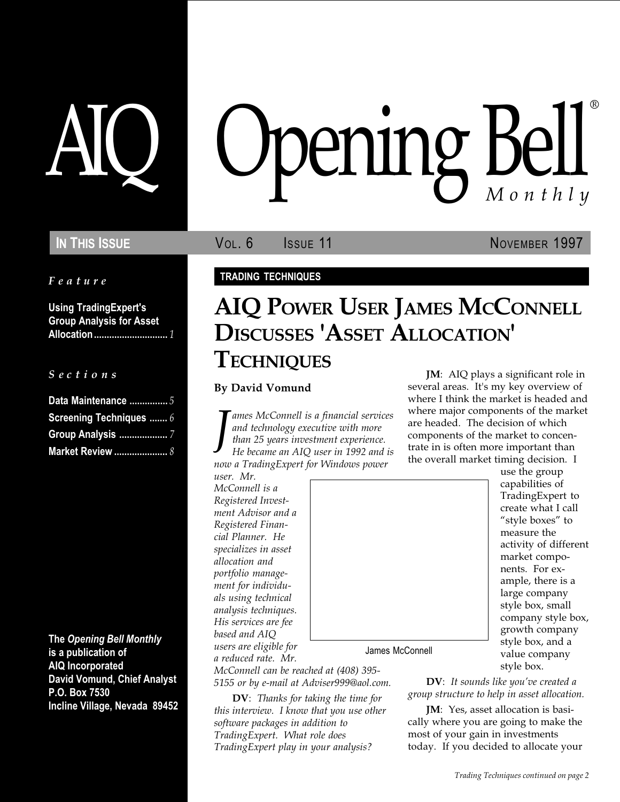#### Feature

Using TradingExpert's Group Analysis for Asset Allocation ............................. 1

#### S e c t i o n s

| Data Maintenance  5            |
|--------------------------------|
| <b>Screening Techniques  6</b> |
|                                |
|                                |

The Opening Bell Monthly is a publication of AIQ Incorporated David Vomund, Chief Analyst P.O. Box 7530 Incline Village, Nevada 89452

# AIQ Opening Bell ®

## In This Issue **Vol. 6 ISSUE** 11 **NOVEMBER 1997**

#### TRADING TECHNIQUES

# AIQ POWER USER JAMES MCCONNELL DISCUSSES 'ASSET ALLOCATION' **TECHNIQUES**

By David Vomund

J ames McConnell is a financial services and technology executive with more than 25 years investment experience. He became an AIQ user in 1992 and is now a TradingExpert for Windows power

user. Mr. McConnell is a Registered Investment Advisor and a Registered Financial Planner. He specializes in asset allocation and portfolio management for individuals using technical analysis techniques. His services are fee based and AIQ users are eligible for a reduced rate. Mr.



James McConnell

McConnell can be reached at (408) 395- 5155 or by e-mail at Adviser999@aol.com.

DV: Thanks for taking the time for this interview. I know that you use other software packages in addition to TradingExpert. What role does TradingExpert play in your analysis?

JM: AIQ plays a significant role in several areas. It's my key overview of where I think the market is headed and where major components of the market are headed. The decision of which components of the market to concentrate in is often more important than the overall market timing decision. I

use the group capabilities of TradingExpert to create what I call "style boxes" to measure the activity of different market components. For example, there is a large company style box, small company style box, growth company style box, and a value company style box.

 $DV:$  It sounds like you've created a group structure to help in asset allocation.

JM: Yes, asset allocation is basically where you are going to make the most of your gain in investments today. If you decided to allocate your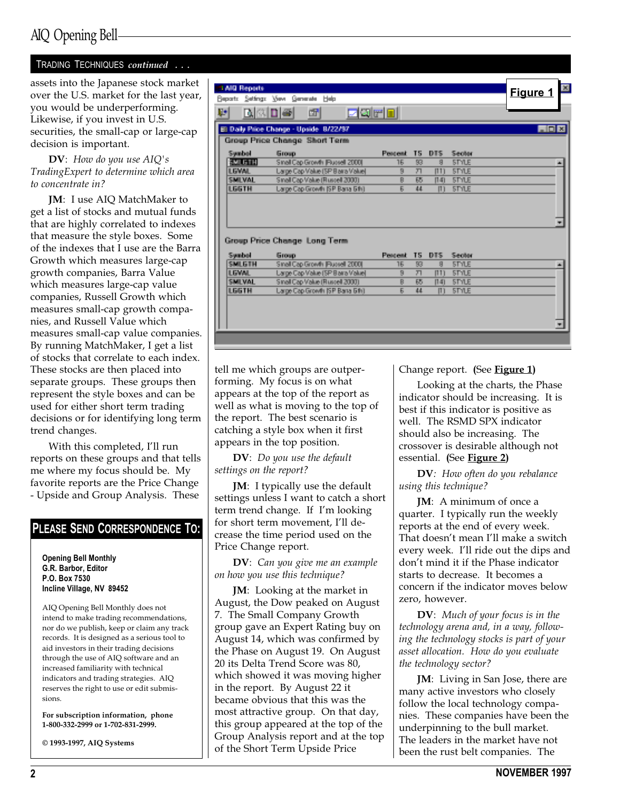## AIQ Opening Bell

#### TRADING TECHNIQUES continued . . .

assets into the Japanese stock market over the U.S. market for the last year, you would be underperforming. Likewise, if you invest in U.S. securities, the small-cap or large-cap decision is important.

DV: How do you use AIQ's TradingExpert to determine which area to concentrate in?

JM: I use AIQ MatchMaker to get a list of stocks and mutual funds that are highly correlated to indexes that measure the style boxes. Some of the indexes that I use are the Barra Growth which measures large-cap growth companies, Barra Value which measures large-cap value companies, Russell Growth which measures small-cap growth companies, and Russell Value which measures small-cap value companies. By running MatchMaker, I get a list of stocks that correlate to each index. These stocks are then placed into separate groups. These groups then represent the style boxes and can be used for either short term trading decisions or for identifying long term trend changes.

With this completed, I'll run reports on these groups and that tells me where my focus should be. My favorite reports are the Price Change - Upside and Group Analysis. These

#### PLEASE SEND CORRESPONDENCE TO:

Opening Bell Monthly G.R. Barbor, Editor P.O. Box 7530 Incline Village, NV 89452

AIQ Opening Bell Monthly does not intend to make trading recommendations, nor do we publish, keep or claim any track records. It is designed as a serious tool to aid investors in their trading decisions through the use of AIQ software and an increased familiarity with technical indicators and trading strategies. AIQ reserves the right to use or edit submissions.

For subscription information, phone 1-800-332-2999 or 1-702-831-2999.

© 1993-1997, AIQ Systems

| 1 AND Reports  |                                        |                |                  |      |              | Figure 1     |
|----------------|----------------------------------------|----------------|------------------|------|--------------|--------------|
|                | Beparts Settings View Generate Help    |                |                  |      |              |              |
| 며              | egril<br><b>Made</b><br>衄              |                |                  |      |              |              |
|                | El Dally Price Change - Upside 8/22/97 |                |                  |      |              | <b>LIDIX</b> |
|                | Group Price Change Short Term          |                |                  |      |              |              |
| Swabel         | <b>Group</b>                           | Present        | TS.              | DTS: | Sector       |              |
| <b>TALK IN</b> | Small Cap Growth (Russell 2000)        | 16             | 83               | g    | <b>STYLE</b> |              |
| <b>LEWAL</b>   | Large Cap Value (SP Bara Value)        | $\overline{B}$ | $\overline{\pi}$ | 1111 | <b>STYLE</b> |              |
| <b>SBILVOL</b> | Sinal Cap Value (Russell 2000)         | $\overline{B}$ | 65               | [14] | <b>STYLE</b> |              |
|                |                                        | R              | 44.              | m    | <b>STYLE</b> |              |
| <b>LGGTH</b>   | Large Cap Growth ISP Barra 5th1        |                |                  |      |              |              |
|                | Group Price Change, Long Term          |                |                  |      |              |              |
| Swabel         | <b>Group</b>                           | Present        | TS.              | DTS. | Section      |              |
| SMI GTH        | Sinal Cap Growth Fluesel 2000          | 16.            | 83.              | я    | <b>STYLE</b> |              |
| <b>LGWAL</b>   | Large Cap Value (SP Bara Value)        | $\overline{B}$ | 四                | [11] | <b>STYLE</b> |              |
| <b>SEILVAL</b> | Sinal Cap Value (Russell 2000)         | B.             | 65               | [14] | <b>STYLE</b> |              |
| <b>LGGTH</b>   | Large Cap Growth ISP Barra 5th1        | Ę,             | 44               | Ш    | <b>STYLE</b> |              |

tell me which groups are outperforming. My focus is on what appears at the top of the report as well as what is moving to the top of the report. The best scenario is catching a style box when it first appears in the top position.

DV: Do you use the default settings on the report?

JM: I typically use the default settings unless I want to catch a short term trend change. If I'm looking for short term movement, I'll decrease the time period used on the Price Change report.

DV: Can you give me an example on how you use this technique?

JM: Looking at the market in August, the Dow peaked on August 7. The Small Company Growth group gave an Expert Rating buy on August 14, which was confirmed by the Phase on August 19. On August 20 its Delta Trend Score was 80, which showed it was moving higher in the report. By August 22 it became obvious that this was the most attractive group. On that day, this group appeared at the top of the Group Analysis report and at the top of the Short Term Upside Price

Change report. (See Figure 1)

Looking at the charts, the Phase indicator should be increasing. It is best if this indicator is positive as well. The RSMD SPX indicator should also be increasing. The crossover is desirable although not essential. (See Figure 2)

DV: How often do you rebalance using this technique?

JM: A minimum of once a quarter. I typically run the weekly reports at the end of every week. That doesn't mean I'll make a switch every week. I'll ride out the dips and don't mind it if the Phase indicator starts to decrease. It becomes a concern if the indicator moves below zero, however.

DV: Much of your focus is in the technology arena and, in a way, following the technology stocks is part of your asset allocation. How do you evaluate the technology sector?

JM: Living in San Jose, there are many active investors who closely follow the local technology companies. These companies have been the underpinning to the bull market. The leaders in the market have not been the rust belt companies. The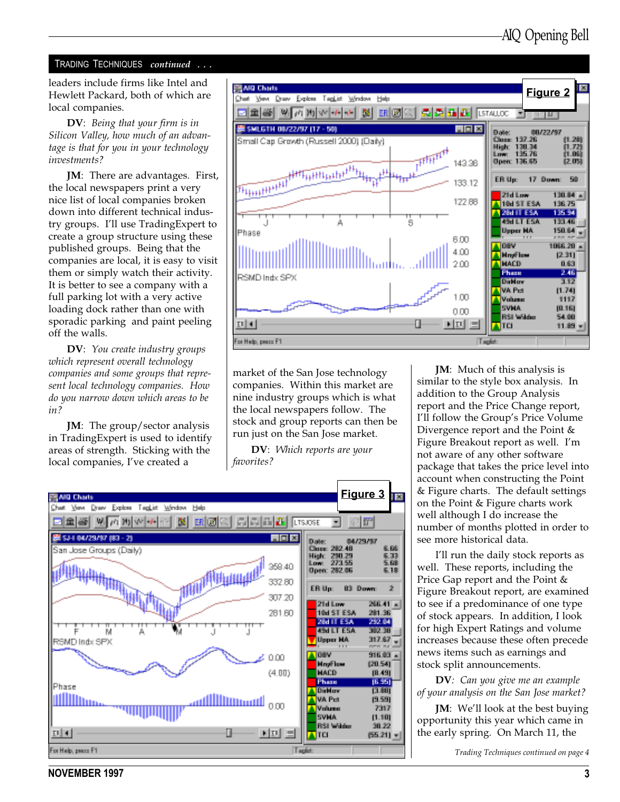#### TRADING TECHNIQUES continued ...

leaders include firms like Intel and Hewlett Packard, both of which are local companies.

DV: Being that your firm is in Silicon Valley, how much of an advantage is that for you in your technology investments?

JM: There are advantages. First, the local newspapers print a very nice list of local companies broken down into different technical industry groups. I'll use TradingExpert to create a group structure using these published groups. Being that the companies are local, it is easy to visit them or simply watch their activity. It is better to see a company with a full parking lot with a very active loading dock rather than one with sporadic parking and paint peeling off the walls.

DV: You create industry groups which represent overall technology companies and some groups that represent local technology companies. How do you narrow down which areas to be in?

JM: The group/sector analysis in TradingExpert is used to identify areas of strength. Sticking with the local companies, I've created a



market of the San Jose technology companies. Within this market are nine industry groups which is what the local newspapers follow. The stock and group reports can then be run just on the San Jose market.

DV: Which reports are your favorites?



**JM**: Much of this analysis is similar to the style box analysis. In addition to the Group Analysis report and the Price Change report, I'll follow the Group's Price Volume Divergence report and the Point & Figure Breakout report as well. I'm not aware of any other software package that takes the price level into account when constructing the Point & Figure charts. The default settings on the Point & Figure charts work well although I do increase the number of months plotted in order to see more historical data.

I'll run the daily stock reports as well. These reports, including the Price Gap report and the Point & Figure Breakout report, are examined to see if a predominance of one type of stock appears. In addition, I look for high Expert Ratings and volume increases because these often precede news items such as earnings and stock split announcements.

DV: Can you give me an example of your analysis on the San Jose market?

**JM:** We'll look at the best buying opportunity this year which came in the early spring. On March 11, the

Trading Techniques continued on page 4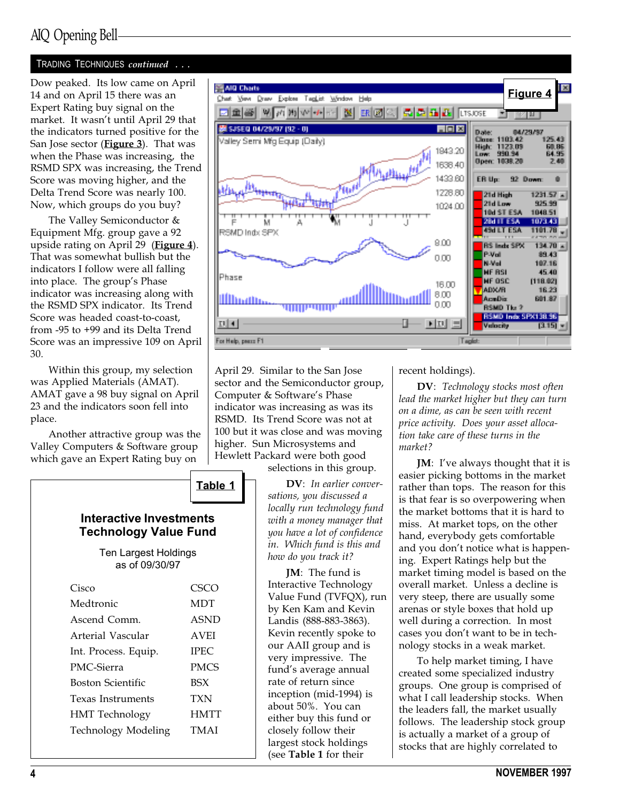## AIQ Opening Bell

#### TRADING TECHNIQUES continued ...

Dow peaked. Its low came on April 14 and on April 15 there was an Expert Rating buy signal on the market. It wasn't until April 29 that the indicators turned positive for the San Jose sector (*Figure 3*). That was when the Phase was increasing, the RSMD SPX was increasing, the Trend Score was moving higher, and the Delta Trend Score was nearly 100. Now, which groups do you buy?

The Valley Semiconductor & Equipment Mfg. group gave a 92 upside rating on April 29 (Figure 4). That was somewhat bullish but the indicators I follow were all falling into place. The group's Phase indicator was increasing along with the RSMD SPX indicator. Its Trend Score was headed coast-to-coast, from -95 to +99 and its Delta Trend Score was an impressive 109 on April 30.

Within this group, my selection was Applied Materials (AMAT). AMAT gave a 98 buy signal on April 23 and the indicators soon fell into place.

Another attractive group was the Valley Computers & Software group which gave an Expert Rating buy on





April 29. Similar to the San Jose sector and the Semiconductor group, Computer & Software's Phase indicator was increasing as was its RSMD. Its Trend Score was not at 100 but it was close and was moving higher. Sun Microsystems and Hewlett Packard were both good

selections in this group.

DV: In earlier conversations, you discussed a locally run technology fund with a money manager that you have a lot of confidence in. Which fund is this and how do you track it?

JM: The fund is Interactive Technology Value Fund (TVFQX), run by Ken Kam and Kevin Landis (888-883-3863). Kevin recently spoke to our AAII group and is very impressive. The fund's average annual rate of return since inception (mid-1994) is about 50%. You can either buy this fund or closely follow their largest stock holdings (see Table 1 for their

recent holdings).

DV: Technology stocks most often lead the market higher but they can turn on a dime, as can be seen with recent price activity. Does your asset allocation take care of these turns in the market?

JM: I've always thought that it is easier picking bottoms in the market rather than tops. The reason for this is that fear is so overpowering when the market bottoms that it is hard to miss. At market tops, on the other hand, everybody gets comfortable and you don't notice what is happening. Expert Ratings help but the market timing model is based on the overall market. Unless a decline is very steep, there are usually some arenas or style boxes that hold up well during a correction. In most cases you don't want to be in technology stocks in a weak market.

To help market timing, I have created some specialized industry groups. One group is comprised of what I call leadership stocks. When the leaders fall, the market usually follows. The leadership stock group is actually a market of a group of stocks that are highly correlated to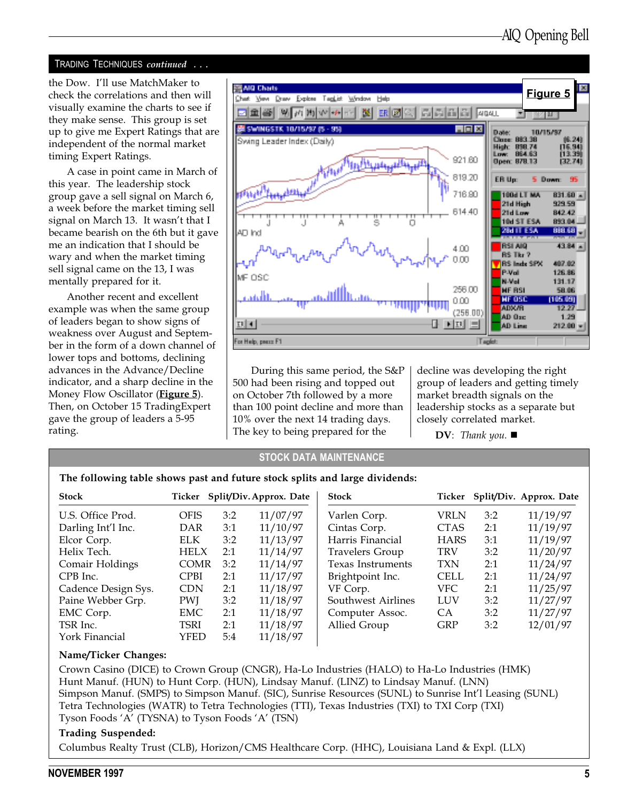#### TRADING TECHNIQUES continued . . .

the Dow. I'll use MatchMaker to check the correlations and then will visually examine the charts to see if they make sense. This group is set up to give me Expert Ratings that are independent of the normal market timing Expert Ratings.

A case in point came in March of this year. The leadership stock group gave a sell signal on March 6, a week before the market timing sell signal on March 13. It wasn't that I became bearish on the 6th but it gave me an indication that I should be wary and when the market timing sell signal came on the 13, I was mentally prepared for it.

Another recent and excellent example was when the same group of leaders began to show signs of weakness over August and September in the form of a down channel of lower tops and bottoms, declining advances in the Advance/Decline indicator, and a sharp decline in the Money Flow Oscillator (**Figure 5**). Then, on October 15 TradingExpert gave the group of leaders a 5-95 rating.



During this same period, the S&P 500 had been rising and topped out on October 7th followed by a more than 100 point decline and more than 10% over the next 14 trading days. The key to being prepared for the

decline was developing the right group of leaders and getting timely market breadth signals on the leadership stocks as a separate but closely correlated market.

 $\mathbf{D}\mathbf{V}$ : Thank you.

#### STOCK DATA MAINTENANCE

| The following table shows past and future stock splits and large dividends: |  |  |  |  |  |
|-----------------------------------------------------------------------------|--|--|--|--|--|
|                                                                             |  |  |  |  |  |

| <b>Stock</b>        |             |     | Ticker Split/Div. Approx. Date | <b>Stock</b>             |             |     | Ticker Split/Div. Approx. Date |
|---------------------|-------------|-----|--------------------------------|--------------------------|-------------|-----|--------------------------------|
| U.S. Office Prod.   | <b>OFIS</b> | 3:2 | 11/07/97                       | Varlen Corp.             | VRLN        | 3:2 | 11/19/97                       |
| Darling Int'l Inc.  | DAR         | 3:1 | 11/10/97                       | Cintas Corp.             | <b>CTAS</b> | 2:1 | 11/19/97                       |
| Elcor Corp.         | <b>ELK</b>  | 3:2 | 11/13/97                       | Harris Financial         | <b>HARS</b> | 3:1 | 11/19/97                       |
| Helix Tech.         | <b>HELX</b> | 2:1 | 11/14/97                       | <b>Travelers Group</b>   | <b>TRV</b>  | 3:2 | 11/20/97                       |
| Comair Holdings     | <b>COMR</b> | 3:2 | 11/14/97                       | <b>Texas Instruments</b> | <b>TXN</b>  | 2:1 | 11/24/97                       |
| CPB Inc.            | <b>CPBI</b> | 2:1 | 11/17/97                       | Brightpoint Inc.         | <b>CELL</b> | 2:1 | 11/24/97                       |
| Cadence Design Sys. | <b>CDN</b>  | 2:1 | 11/18/97                       | VF Corp.                 | VFC.        | 2:1 | 11/25/97                       |
| Paine Webber Grp.   | <b>PWI</b>  | 3:2 | 11/18/97                       | Southwest Airlines       | <b>LUV</b>  | 3:2 | 11/27/97                       |
| EMC Corp.           | EMC         | 2:1 | 11/18/97                       | Computer Assoc.          | <b>CA</b>   | 3:2 | 11/27/97                       |
| TSR Inc.            | TSRI        | 2:1 | 11/18/97                       | Allied Group             | <b>GRP</b>  | 3:2 | 12/01/97                       |
| York Financial      | YFED        | 5:4 | 11/18/97                       |                          |             |     |                                |

#### Name/Ticker Changes:

Crown Casino (DICE) to Crown Group (CNGR), Ha-Lo Industries (HALO) to Ha-Lo Industries (HMK) Hunt Manuf. (HUN) to Hunt Corp. (HUN), Lindsay Manuf. (LINZ) to Lindsay Manuf. (LNN) Simpson Manuf. (SMPS) to Simpson Manuf. (SIC), Sunrise Resources (SUNL) to Sunrise Int'l Leasing (SUNL) Tetra Technologies (WATR) to Tetra Technologies (TTI), Texas Industries (TXI) to TXI Corp (TXI) Tyson Foods 'A' (TYSNA) to Tyson Foods 'A' (TSN)

#### Trading Suspended:

Columbus Realty Trust (CLB), Horizon/CMS Healthcare Corp. (HHC), Louisiana Land & Expl. (LLX)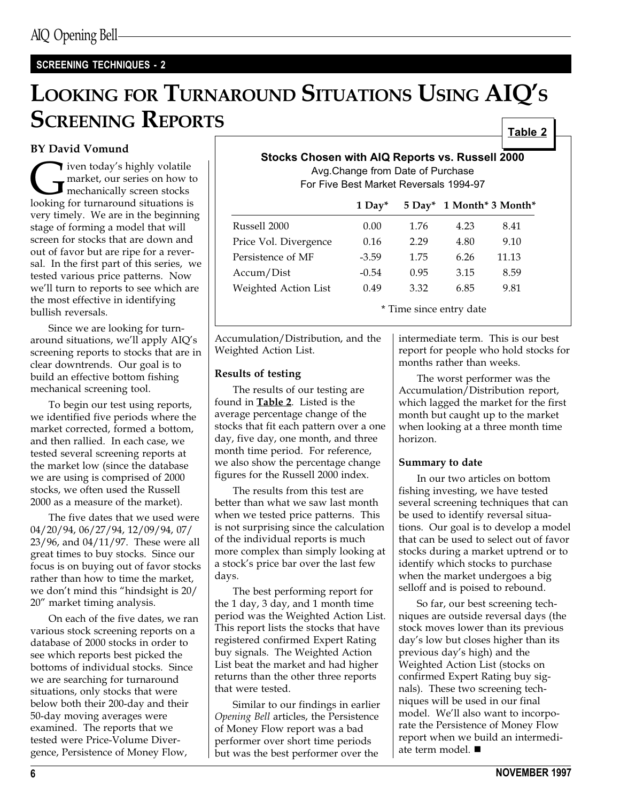### SCREENING TECHNIQUES - 2

## LOOKING FOR TURNAROUND SITUATIONS USING AIQ'S **SCREENING REPORTS** Table 2

### BY David Vomund

I iven today's highly volatile<br>market, our series on how the mechanically screen stocks<br>looking for turnaround situations is market, our series on how to mechanically screen stocks looking for turnaround situations is very timely. We are in the beginning stage of forming a model that will screen for stocks that are down and out of favor but are ripe for a reversal. In the first part of this series, we tested various price patterns. Now we'll turn to reports to see which are the most effective in identifying bullish reversals.

Since we are looking for turnaround situations, we'll apply AIQ's screening reports to stocks that are in clear downtrends. Our goal is to build an effective bottom fishing mechanical screening tool.

To begin our test using reports, we identified five periods where the market corrected, formed a bottom, and then rallied. In each case, we tested several screening reports at the market low (since the database we are using is comprised of 2000 stocks, we often used the Russell 2000 as a measure of the market).

The five dates that we used were 04/20/94, 06/27/94, 12/09/94, 07/ 23/96, and 04/11/97. These were all great times to buy stocks. Since our focus is on buying out of favor stocks rather than how to time the market, we don't mind this "hindsight is 20/ 20" market timing analysis.

On each of the five dates, we ran various stock screening reports on a database of 2000 stocks in order to see which reports best picked the bottoms of individual stocks. Since we are searching for turnaround situations, only stocks that were below both their 200-day and their 50-day moving averages were examined. The reports that we tested were Price-Volume Divergence, Persistence of Money Flow,

| Stocks Chosen with AIQ Reports vs. Russell 2000<br>Avg. Change from Date of Purchase<br>For Five Best Market Reversals 1994-97 |      |      |      |                                 |  |  |
|--------------------------------------------------------------------------------------------------------------------------------|------|------|------|---------------------------------|--|--|
|                                                                                                                                |      |      |      | 1 Day* 5 Day* 1 Month* 3 Month* |  |  |
| Russell 2000                                                                                                                   | 0.00 | 1.76 | 4.23 | 8.41                            |  |  |
| Price Vol. Divergence                                                                                                          | 0.16 | 2.29 | 4.80 | 9.10                            |  |  |
| Porsistance of ME                                                                                                              | 250. | 175  | 6 76 | 11 12                           |  |  |

Persistence of MF  $-3.59$  1.75 6.26 11.13 Accum/Dist -0.54 0.95 3.15 8.59 Weighted Action List 0.49 3.32 6.85 9.81 \* Time since entry date

Accumulation/Distribution, and the Weighted Action List.

#### Results of testing

The results of our testing are found in Table 2. Listed is the average percentage change of the stocks that fit each pattern over a one day, five day, one month, and three month time period. For reference, we also show the percentage change figures for the Russell 2000 index.

The results from this test are better than what we saw last month when we tested price patterns. This is not surprising since the calculation of the individual reports is much more complex than simply looking at a stock's price bar over the last few days.

The best performing report for the 1 day, 3 day, and 1 month time period was the Weighted Action List. This report lists the stocks that have registered confirmed Expert Rating buy signals. The Weighted Action List beat the market and had higher returns than the other three reports that were tested.

Similar to our findings in earlier Opening Bell articles, the Persistence of Money Flow report was a bad performer over short time periods but was the best performer over the

intermediate term. This is our best report for people who hold stocks for months rather than weeks.

The worst performer was the Accumulation/Distribution report, which lagged the market for the first month but caught up to the market when looking at a three month time horizon.

#### Summary to date

In our two articles on bottom fishing investing, we have tested several screening techniques that can be used to identify reversal situations. Our goal is to develop a model that can be used to select out of favor stocks during a market uptrend or to identify which stocks to purchase when the market undergoes a big selloff and is poised to rebound.

So far, our best screening techniques are outside reversal days (the stock moves lower than its previous day's low but closes higher than its previous day's high) and the Weighted Action List (stocks on confirmed Expert Rating buy signals). These two screening techniques will be used in our final model. We'll also want to incorporate the Persistence of Money Flow report when we build an intermediate term model.  $\blacksquare$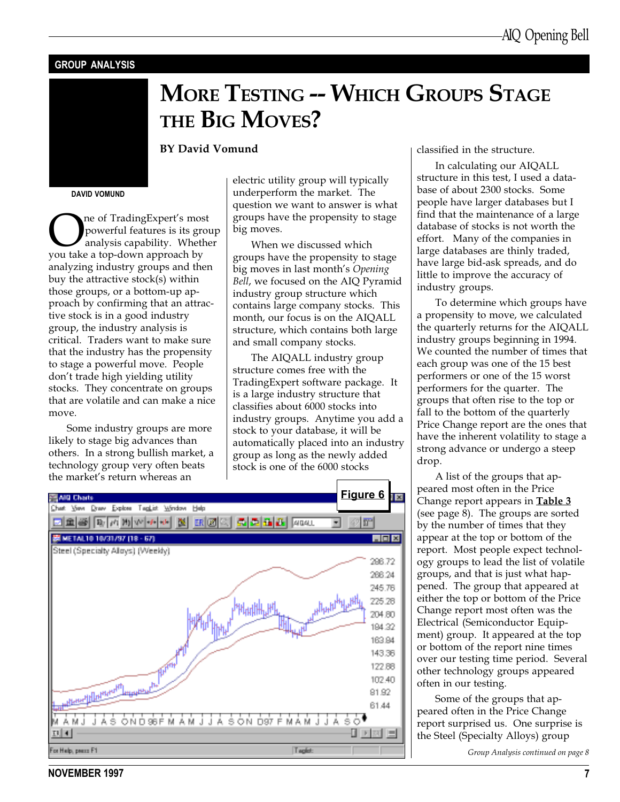#### GROUP ANALYSIS

## MORE TESTING -- WHICH GROUPS STAGE THE BIG MOVES?

#### BY David Vomund

DAVID VOMUND

**OREA** of Trading Expert's most<br>powerful features is its gro<br>you take a top-down approach by powerful features is its group analysis capability. Whether analyzing industry groups and then buy the attractive stock(s) within those groups, or a bottom-up approach by confirming that an attractive stock is in a good industry group, the industry analysis is critical. Traders want to make sure that the industry has the propensity to stage a powerful move. People don't trade high yielding utility stocks. They concentrate on groups that are volatile and can make a nice move.

Some industry groups are more likely to stage big advances than others. In a strong bullish market, a technology group very often beats the market's return whereas an

electric utility group will typically underperform the market. The question we want to answer is what groups have the propensity to stage big moves.

When we discussed which groups have the propensity to stage big moves in last month's Opening Bell, we focused on the AIQ Pyramid industry group structure which contains large company stocks. This month, our focus is on the AIQALL structure, which contains both large and small company stocks.

The AIQALL industry group structure comes free with the TradingExpert software package. It is a large industry structure that classifies about 6000 stocks into industry groups. Anytime you add a stock to your database, it will be automatically placed into an industry group as long as the newly added stock is one of the 6000 stocks



classified in the structure.

In calculating our AIQALL structure in this test, I used a database of about 2300 stocks. Some people have larger databases but I find that the maintenance of a large database of stocks is not worth the effort. Many of the companies in large databases are thinly traded, have large bid-ask spreads, and do little to improve the accuracy of industry groups.

To determine which groups have a propensity to move, we calculated the quarterly returns for the AIQALL industry groups beginning in 1994. We counted the number of times that each group was one of the 15 best performers or one of the 15 worst performers for the quarter. The groups that often rise to the top or fall to the bottom of the quarterly Price Change report are the ones that have the inherent volatility to stage a strong advance or undergo a steep drop.

A list of the groups that appeared most often in the Price Change report appears in **Table 3** (see page 8). The groups are sorted by the number of times that they appear at the top or bottom of the report. Most people expect technology groups to lead the list of volatile groups, and that is just what happened. The group that appeared at either the top or bottom of the Price Change report most often was the Electrical (Semiconductor Equipment) group. It appeared at the top or bottom of the report nine times over our testing time period. Several other technology groups appeared often in our testing.

Some of the groups that appeared often in the Price Change report surprised us. One surprise is the Steel (Specialty Alloys) group

Group Analysis continued on page 8

NOVEMBER 1997 7